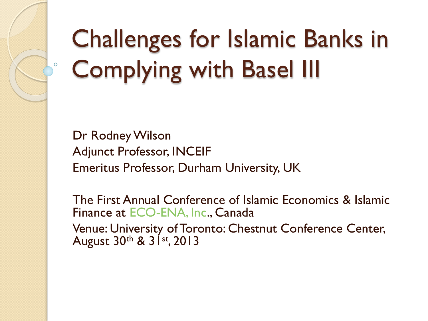# Challenges for Islamic Banks in Complying with Basel III

Dr Rodney Wilson Adjunct Professor, INCEIF Emeritus Professor, Durham University, UK

The First Annual Conference of Islamic Economics & Islamic Finance at [ECO-ENA, Inc](http://www.eco-ena.ca/)., Canada Venue: University of Toronto: Chestnut Conference Center, August 30th & 31st, 2013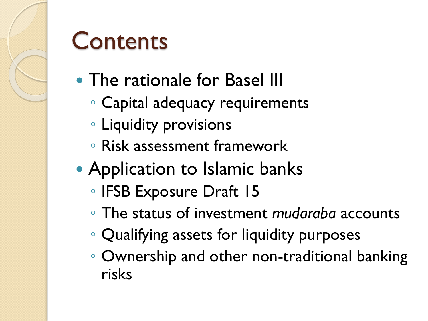#### **Contents**

- The rationale for Basel III
	- Capital adequacy requirements
	- Liquidity provisions
	- Risk assessment framework
- Application to Islamic banks
	- IFSB Exposure Draft 15
	- The status of investment *mudaraba* accounts
	- Qualifying assets for liquidity purposes
	- Ownership and other non-traditional banking risks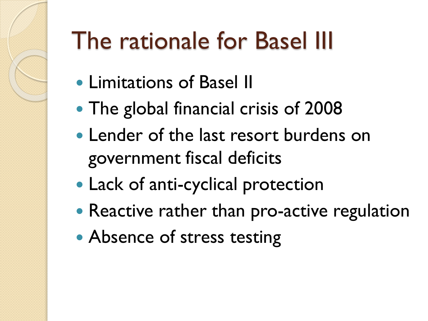# The rationale for Basel III

- Limitations of Basel II
- The global financial crisis of 2008
- Lender of the last resort burdens on government fiscal deficits
- Lack of anti-cyclical protection
- Reactive rather than pro-active regulation
- Absence of stress testing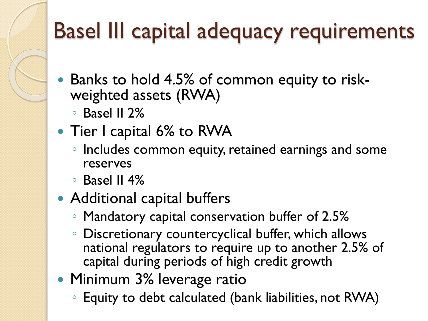#### Basel III capital adequacy requirements

- Banks to hold 4.5% of common equity to riskweighted assets (RWA)
	- Basel II 2%
- Tier I capital 6% to RWA
	- Includes common equity, retained earnings and some reserves
	- $\circ$  Basel II 4%
- Additional capital buffers
	- Mandatory capital conservation buffer of 2.5%
	- Discretionary countercyclical buffer, which allows national regulators to require up to another 2.5% of capital during periods of high credit growth
- Minimum 3% leverage ratio
	- Equity to debt calculated (bank liabilities, not RWA)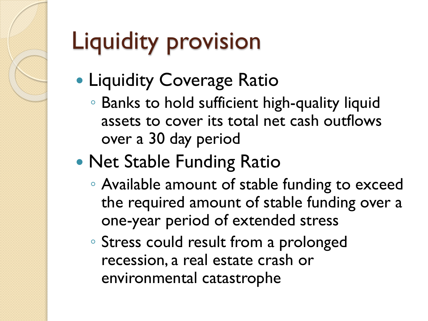# Liquidity provision

- **Liquidity Coverage Ratio** 
	- Banks to hold sufficient high-quality liquid assets to cover its total net cash outflows over a 30 day period

#### • Net Stable Funding Ratio

- Available amount of stable funding to exceed the required amount of stable funding over a one-year period of extended stress
- Stress could result from a prolonged recession, a real estate crash or environmental catastrophe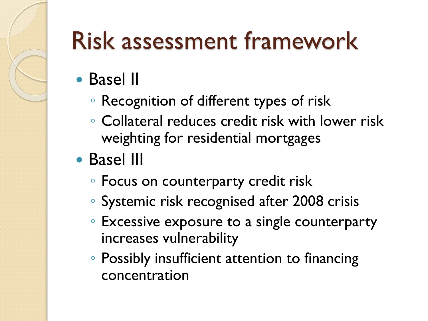# Risk assessment framework

- Basel II
	- Recognition of different types of risk
	- Collateral reduces credit risk with lower risk weighting for residential mortgages
- Basel III
	- Focus on counterparty credit risk
	- Systemic risk recognised after 2008 crisis
	- Excessive exposure to a single counterparty increases vulnerability
	- Possibly insufficient attention to financing concentration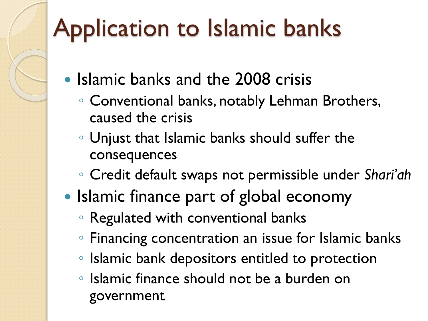# Application to Islamic banks

- Islamic banks and the 2008 crisis
	- Conventional banks, notably Lehman Brothers, caused the crisis
	- Unjust that Islamic banks should suffer the consequences
	- Credit default swaps not permissible under *Shari'ah*
- Islamic finance part of global economy
	- Regulated with conventional banks
	- Financing concentration an issue for Islamic banks
	- Islamic bank depositors entitled to protection
	- Islamic finance should not be a burden on government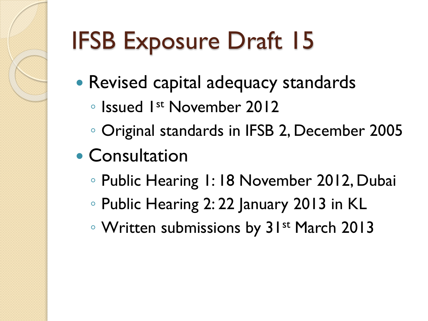# IFSB Exposure Draft 15

- Revised capital adequacy standards
	- Issued 1st November 2012
	- Original standards in IFSB 2, December 2005
- Consultation
	- Public Hearing 1: 18 November 2012, Dubai
	- Public Hearing 2: 22 January 2013 in KL
	- Written submissions by 31st March 2013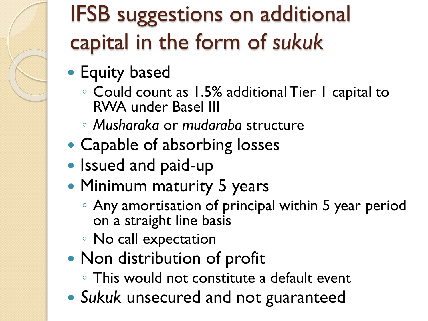#### IFSB suggestions on additional capital in the form of *sukuk*

- **Equity based** 
	- Could count as 1.5% additional Tier 1 capital to RWA under Basel III
	- *Musharaka* or *mudaraba* structure
- Capable of absorbing losses
- Issued and paid-up
- Minimum maturity 5 years
	- Any amortisation of principal within 5 year period on a straight line basis
	- No call expectation
- Non distribution of profit
	- This would not constitute a default event
- *Sukuk* unsecured and not guaranteed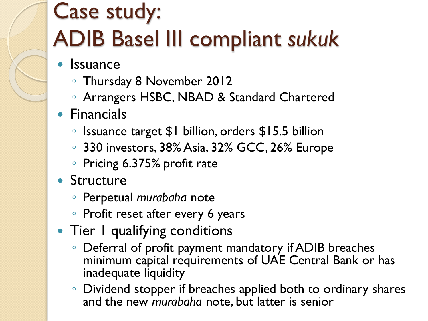#### Case study: ADIB Basel III compliant *sukuk*

- **Issuance** 
	- Thursday 8 November 2012
	- Arrangers HSBC, NBAD & Standard Chartered
- **•** Financials
	- Issuance target \$1 billion, orders \$15.5 billion
	- 330 investors, 38% Asia, 32% GCC, 26% Europe
	- Pricing 6.375% profit rate
- Structure
	- Perpetual *murabaha* note
	- Profit reset after every 6 years
- Tier I qualifying conditions
	- Deferral of profit payment mandatory if ADIB breaches minimum capital requirements of UAE Central Bank or has inadequate liquidity
	- Dividend stopper if breaches applied both to ordinary shares and the new *murabaha* note, but latter is senior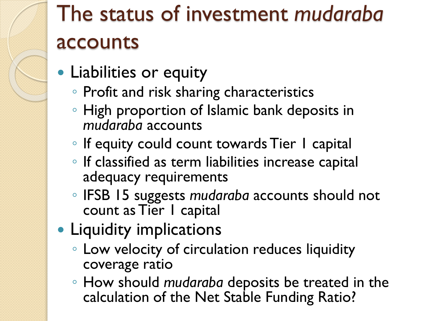### The status of investment *mudaraba* accounts

- Liabilities or equity
	- Profit and risk sharing characteristics
	- High proportion of Islamic bank deposits in *mudaraba* accounts
	- If equity could count towards Tier 1 capital
	- If classified as term liabilities increase capital adequacy requirements
	- IFSB 15 suggests *mudaraba* accounts should not count as Tier 1 capital
- Liquidity implications
	- Low velocity of circulation reduces liquidity coverage ratio
	- How should *mudaraba* deposits be treated in the calculation of the Net Stable Funding Ratio?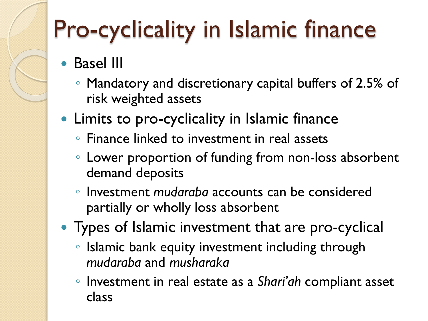# Pro-cyclicality in Islamic finance

- Basel III
	- Mandatory and discretionary capital buffers of 2.5% of risk weighted assets
- Limits to pro-cyclicality in Islamic finance
	- Finance linked to investment in real assets
	- Lower proportion of funding from non-loss absorbent demand deposits
	- Investment *mudaraba* accounts can be considered partially or wholly loss absorbent
- Types of Islamic investment that are pro-cyclical
	- Islamic bank equity investment including through *mudaraba* and *musharaka*
	- Investment in real estate as a *Shari'ah* compliant asset class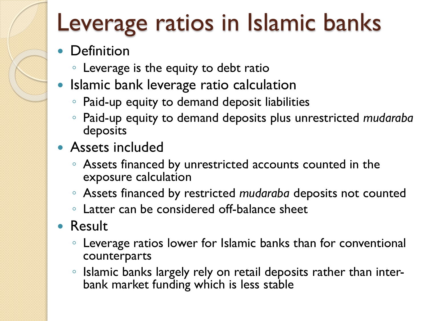## Leverage ratios in Islamic banks

- Definition
	- Leverage is the equity to debt ratio
- Islamic bank leverage ratio calculation
	- Paid-up equity to demand deposit liabilities
	- Paid-up equity to demand deposits plus unrestricted *mudaraba* deposits
- Assets included
	- Assets financed by unrestricted accounts counted in the exposure calculation
	- Assets financed by restricted *mudaraba* deposits not counted
	- Latter can be considered off-balance sheet
- Result
	- Leverage ratios lower for Islamic banks than for conventional counterparts
	- Islamic banks largely rely on retail deposits rather than interbank market funding which is less stable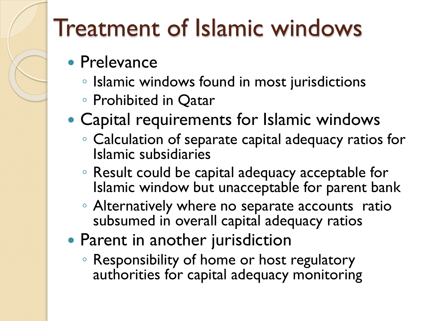## Treatment of Islamic windows

- Prelevance
	- Islamic windows found in most jurisdictions
	- Prohibited in Qatar
- Capital requirements for Islamic windows
	- Calculation of separate capital adequacy ratios for Islamic subsidiaries
	- Result could be capital adequacy acceptable for Islamic window but unacceptable for parent bank
	- Alternatively where no separate accounts ratio subsumed in overall capital adequacy ratios
- Parent in another jurisdiction
	- Responsibility of home or host regulatory authorities for capital adequacy monitoring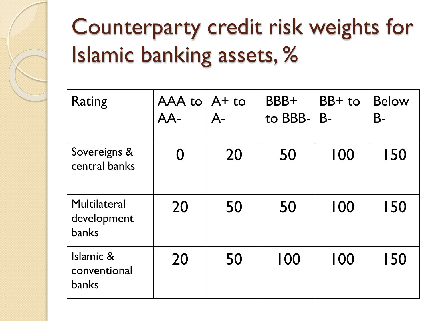#### Counterparty credit risk weights for Islamic banking assets, %

| <b>Rating</b>                               | AAA to $A +$ to<br>AA- | $A-$ | BBB+<br>to BBB- | $BB+$ to<br>$B -$ | <b>Below</b><br><b>B-</b> |
|---------------------------------------------|------------------------|------|-----------------|-------------------|---------------------------|
| Sovereigns &<br>central banks               | $\Omega$               | 20   | 50              | 100               | 150                       |
| Multilateral<br>development<br><b>banks</b> | 20                     | 50   | 50              | 100               | 150                       |
| Islamic &<br>conventional<br><b>banks</b>   | 20                     | 50   | 100             | 100               | 150                       |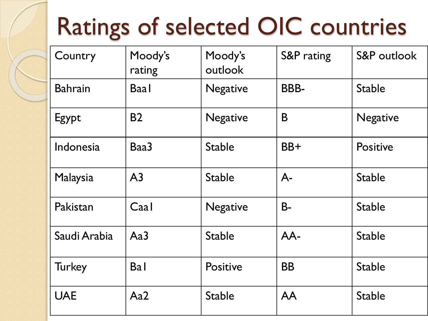# Ratings of selected OIC countries

| Country        | Moody's<br>rating | Moody's<br>outlook | S&P rating  | S&P outlook     |
|----------------|-------------------|--------------------|-------------|-----------------|
| <b>Bahrain</b> | <b>Baal</b>       | <b>Negative</b>    | <b>BBB-</b> | <b>Stable</b>   |
| Egypt          | <b>B2</b>         | <b>Negative</b>    | B           | <b>Negative</b> |
| Indonesia      | Baa3              | <b>Stable</b>      | BB+         | <b>Positive</b> |
| Malaysia       | A <sub>3</sub>    | <b>Stable</b>      | $A-$        | <b>Stable</b>   |
| Pakistan       | Caal              | <b>Negative</b>    | $B -$       | <b>Stable</b>   |
| Saudi Arabia   | Aa3               | <b>Stable</b>      | AA-         | <b>Stable</b>   |
| <b>Turkey</b>  | <b>Bal</b>        | <b>Positive</b>    | <b>BB</b>   | <b>Stable</b>   |
| <b>UAE</b>     | Aa2               | <b>Stable</b>      | <b>AA</b>   | <b>Stable</b>   |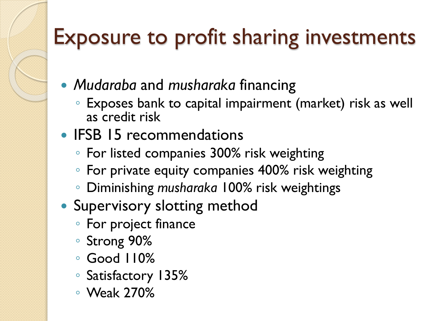#### Exposure to profit sharing investments

- *Mudaraba* and *musharaka* financing
	- Exposes bank to capital impairment (market) risk as well as credit risk
- IFSB 15 recommendations
	- For listed companies 300% risk weighting
	- For private equity companies 400% risk weighting
	- Diminishing *musharaka* 100% risk weightings
- Supervisory slotting method
	- For project finance
	- Strong 90%
	- Good 110%
	- Satisfactory 135%
	- Weak 270%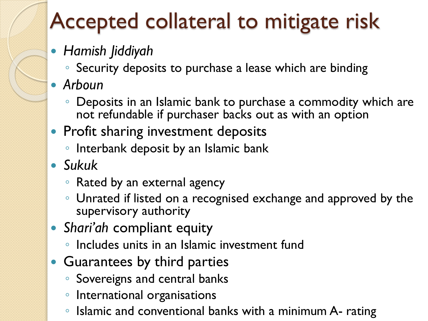#### Accepted collateral to mitigate risk

#### *Hamish Jiddiyah*

◦ Security deposits to purchase a lease which are binding

#### *Arboun*

- Deposits in an Islamic bank to purchase a commodity which are not refundable if purchaser backs out as with an option
- Profit sharing investment deposits
	- Interbank deposit by an Islamic bank
- *Sukuk*
	- Rated by an external agency
	- Unrated if listed on a recognised exchange and approved by the supervisory authority
- *Shari'ah* compliant equity
	- Includes units in an Islamic investment fund
- Guarantees by third parties
	- Sovereigns and central banks
	- International organisations
	- Islamic and conventional banks with a minimum A- rating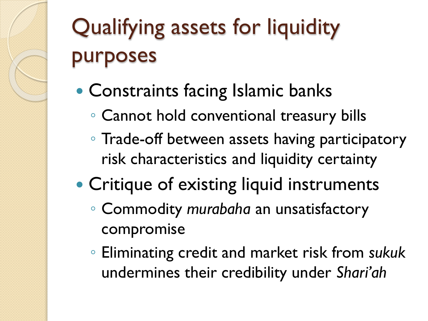# Qualifying assets for liquidity purposes

- Constraints facing Islamic banks
	- Cannot hold conventional treasury bills
	- Trade-off between assets having participatory risk characteristics and liquidity certainty
- Critique of existing liquid instruments
	- Commodity *murabaha* an unsatisfactory compromise
	- Eliminating credit and market risk from *sukuk* undermines their credibility under *Shari'ah*